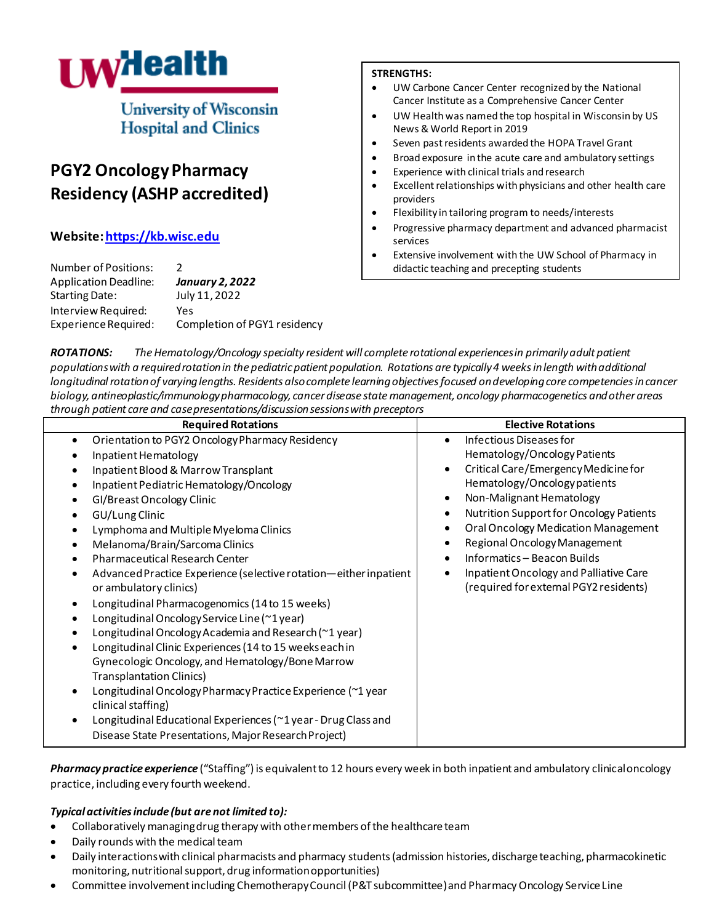

**University of Wisconsin Hospital and Clinics** 

# **PGY2 Oncology Pharmacy Residency (ASHP accredited)**

# **Website[: https://kb.wisc.edu](https://kb.wisc.edu/pharmacyscholarship/106006)**

| <b>Number of Positions:</b>  | $\mathcal{P}$                |
|------------------------------|------------------------------|
| <b>Application Deadline:</b> | <b>January 2, 2022</b>       |
| Starting Date:               | July 11, 2022                |
| Interview Required:          | Yes                          |
| Experience Required:         | Completion of PGY1 residency |
|                              |                              |

# **STRENGTHS:**

- UW Carbone Cancer Center recognized by the National Cancer Institute as a Comprehensive Cancer Center
- UW Health was named the top hospital in Wisconsin by US News & World Report in 2019
- Seven past residents awarded the HOPA Travel Grant
- Broad exposure in the acute care and ambulatory settings
- Experience with clinical trials and research
- Excellent relationships with physicians and other health care providers
- Flexibility in tailoring program to needs/interests
- Progressive pharmacy department and advanced pharmacist services
- Extensive involvement with the UW School of Pharmacy in didactic teaching and precepting students

*ROTATIONS: The Hematology/Oncology specialty residentwill complete rotational experiences in primarilyadult patient populations with a required rotation in the pediatric patient population. Rotations are typically 4 weeks in length with additional longitudinal rotation of varying lengths. Residents also complete learning objectives focused on developing core competenciesin cancer biology, antineoplastic/immunology pharmacology, cancer disease state management, oncology pharmacogenetics and other areas through patient care and case presentations/discussion sessionswith preceptors* 

| <b>Required Rotations</b>                                                                                                                                                                                                                                                                                                                                                                                                                                                                                                                                                                                                                                                                                                                                                                                                                                                                                                                               | <b>Elective Rotations</b>                                                                                                                                                                                                                                                                                                                                                                                                                                 |
|---------------------------------------------------------------------------------------------------------------------------------------------------------------------------------------------------------------------------------------------------------------------------------------------------------------------------------------------------------------------------------------------------------------------------------------------------------------------------------------------------------------------------------------------------------------------------------------------------------------------------------------------------------------------------------------------------------------------------------------------------------------------------------------------------------------------------------------------------------------------------------------------------------------------------------------------------------|-----------------------------------------------------------------------------------------------------------------------------------------------------------------------------------------------------------------------------------------------------------------------------------------------------------------------------------------------------------------------------------------------------------------------------------------------------------|
| Orientation to PGY2 Oncology Pharmacy Residency<br>Inpatient Hematology<br>Inpatient Blood & Marrow Transplant<br>Inpatient Pediatric Hematology/Oncology<br>GI/Breast Oncology Clinic<br>GU/Lung Clinic<br>Lymphoma and Multiple Myeloma Clinics<br>Melanoma/Brain/Sarcoma Clinics<br><b>Pharmaceutical Research Center</b><br>Advanced Practice Experience (selective rotation-either inpatient<br>or ambulatory clinics)<br>Longitudinal Pharmacogenomics (14 to 15 weeks)<br>Longitudinal Oncology Service Line (~1 year)<br>Longitudinal Oncology Academia and Research (~1 year)<br>Longitudinal Clinic Experiences (14 to 15 weeks each in<br>Gynecologic Oncology, and Hematology/Bone Marrow<br><b>Transplantation Clinics)</b><br>Longitudinal Oncology Pharmacy Practice Experience (~1 year<br>clinical staffing)<br>Longitudinal Educational Experiences (~1 year - Drug Class and<br>Disease State Presentations, Major Research Project) | Infectious Diseases for<br>Hematology/Oncology Patients<br>Critical Care/Emergency Medicine for<br>Hematology/Oncology patients<br>Non-Malignant Hematology<br>$\bullet$<br>Nutrition Support for Oncology Patients<br>$\bullet$<br>Oral Oncology Medication Management<br>٠<br>Regional Oncology Management<br>$\bullet$<br>Informatics - Beacon Builds<br>$\bullet$<br>Inpatient Oncology and Palliative Care<br>(required for external PGY2 residents) |

*Pharmacy practice experience* ("Staffing") is equivalent to 12 hours every week in both inpatient and ambulatory clinical oncology practice, including every fourth weekend.

# *Typical activities include (but are not limited to):*

- Collaboratively managing drug therapy with other members of the healthcare team
- Daily rounds with the medical team
- Daily interactions with clinical pharmacists and pharmacy students (admission histories, discharge teaching, pharmacokinetic monitoring, nutritional support, drug information opportunities)
- Committee involvement including Chemotherapy Council (P&T subcommittee) and Pharmacy Oncology Service Line